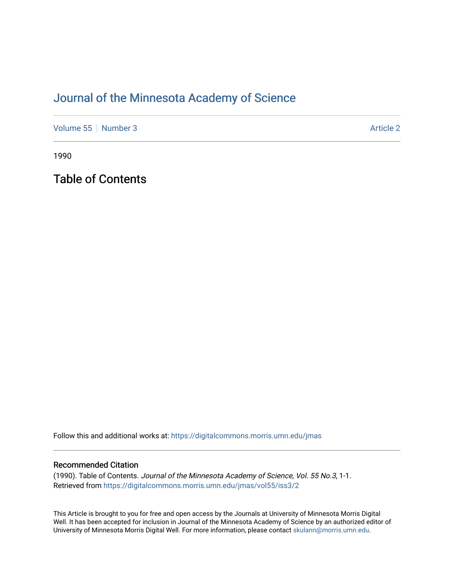## [Journal of the Minnesota Academy of Science](https://digitalcommons.morris.umn.edu/jmas)

[Volume 55](https://digitalcommons.morris.umn.edu/jmas/vol55) [Number 3](https://digitalcommons.morris.umn.edu/jmas/vol55/iss3) Article 2

1990

Table of Contents

Follow this and additional works at: [https://digitalcommons.morris.umn.edu/jmas](https://digitalcommons.morris.umn.edu/jmas?utm_source=digitalcommons.morris.umn.edu%2Fjmas%2Fvol55%2Fiss3%2F2&utm_medium=PDF&utm_campaign=PDFCoverPages) 

### Recommended Citation

(1990). Table of Contents. Journal of the Minnesota Academy of Science, Vol. 55 No.3, 1-1. Retrieved from [https://digitalcommons.morris.umn.edu/jmas/vol55/iss3/2](https://digitalcommons.morris.umn.edu/jmas/vol55/iss3/2?utm_source=digitalcommons.morris.umn.edu%2Fjmas%2Fvol55%2Fiss3%2F2&utm_medium=PDF&utm_campaign=PDFCoverPages)

This Article is brought to you for free and open access by the Journals at University of Minnesota Morris Digital Well. It has been accepted for inclusion in Journal of the Minnesota Academy of Science by an authorized editor of University of Minnesota Morris Digital Well. For more information, please contact [skulann@morris.umn.edu](mailto:skulann@morris.umn.edu).